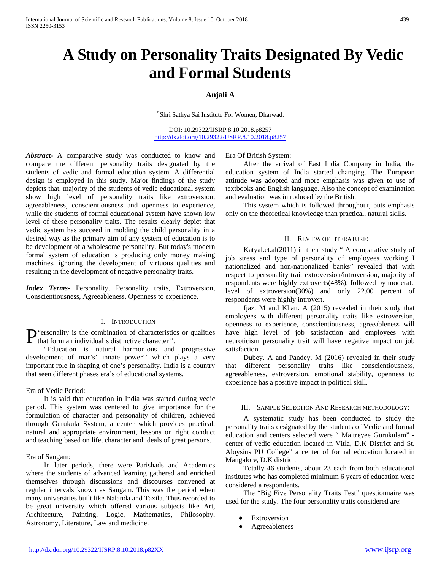# **A Study on Personality Traits Designated By Vedic and Formal Students**

# **Anjali A**

\* Shri Sathya Sai Institute For Women, Dharwad.

DOI: 10.29322/IJSRP.8.10.2018.p8257 <http://dx.doi.org/10.29322/IJSRP.8.10.2018.p8257>

*Abstract***-** A comparative study was conducted to know and compare the different personality traits designated by the students of vedic and formal education system. A differential design is employed in this study. Major findings of the study depicts that, majority of the students of vedic educational system show high level of personality traits like extroversion, agreeableness, conscientiousness and openness to experience, while the students of formal educational system have shown low level of these personality traits. The results clearly depict that vedic system has succeed in molding the child personality in a desired way as the primary aim of any system of education is to be development of a wholesome personality. But today's modern formal system of education is producing only money making machines, ignoring the development of virtuous qualities and resulting in the development of negative personality traits.

*Index Terms*- Personality, Personality traits, Extroversion, Conscientiousness, Agreeableness, Openness to experience.

#### I. INTRODUCTION

**P** "ersonality is the combination of characteristics or qualities"<br>that form an individual's distinctive character". that form an individual's distinctive character''.

 "Education is natural harmonious and progressive development of man's' innate power'' which plays a very important role in shaping of one's personality. India is a country that seen different phases era's of educational systems.

Era of Vedic Period:

 It is said that education in India was started during vedic period. This system was centered to give importance for the formulation of character and personality of children, achieved through Gurukula System, a center which provides practical, natural and appropriate environment, lessons on right conduct and teaching based on life, character and ideals of great persons.

#### Era of Sangam:

 In later periods, there were Parishads and Academics where the students of advanced learning gathered and enriched themselves through discussions and discourses convened at regular intervals known as Sangam. This was the period when many universities built like Nalanda and Taxila. Thus recorded to be great university which offered various subjects like Art, Architecture, Painting, Logic, Mathematics, Philosophy, Astronomy, Literature, Law and medicine.

Era Of British System:

 After the arrival of East India Company in India, the education system of India started changing. The European attitude was adopted and more emphasis was given to use of textbooks and English language. Also the concept of examination and evaluation was introduced by the British.

 This system which is followed throughout, puts emphasis only on the theoretical knowledge than practical, natural skills.

#### II. REVIEW OF LITERATURE:

 Katyal.et.al(2011) in their study " A comparative study of job stress and type of personality of employees working I nationalized and non-nationalized banks" revealed that with respect to personality trait extroversion/introversion, majority of respondents were highly extroverts(48%), followed by moderate level of extroversion(30%) and only 22.00 percent of respondents were highly introvert.

 Ijaz. M and Khan. A (2015) revealed in their study that employees with different personality traits like extroversion, openness to experience, conscientiousness, agreeableness will have high level of job satisfaction and employees with neuroticism personality trait will have negative impact on job satisfaction.

 Dubey. A and Pandey. M (2016) revealed in their study that different personality traits like conscientiousness, agreeableness, extroversion, emotional stability, openness to experience has a positive impact in political skill.

#### III. SAMPLE SELECTION AND RESEARCH METHODOLOGY:

 A systematic study has been conducted to study the personality traits designated by the students of Vedic and formal education and centers selected were " Maitreyee Gurukulam" center of vedic education located in Vitla, D.K District and St. Aloysius PU College" a center of formal education located in Mangalore, D.K district.

 Totally 46 students, about 23 each from both educational institutes who has completed minimum 6 years of education were considered a respondents.

 The "Big Five Personality Traits Test" questionnaire was used for the study. The four personality traits considered are:

- Extroversion
- **Agreeableness**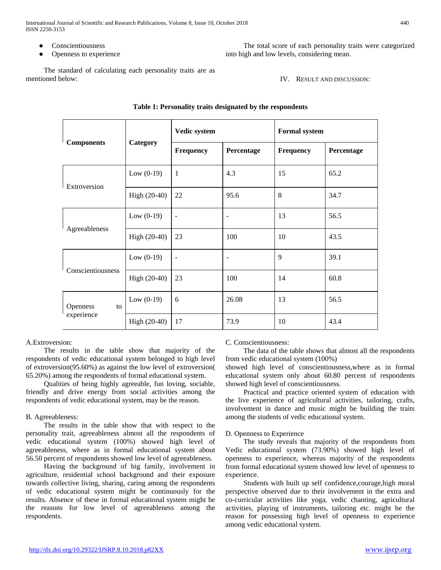International Journal of Scientific and Research Publications, Volume 8, Issue 10, October 2018 440 ISSN 2250-3153

**Conscientiousness** 

Openness to experience

 The total score of each personality traits were categorized into high and low levels, considering mean.

 The standard of calculating each personality traits are as mentioned below:

IV. RESULT AND DISCUSSION:

| <b>Components</b>            | Category       | Vedic system             |                          | <b>Formal system</b> |            |
|------------------------------|----------------|--------------------------|--------------------------|----------------------|------------|
|                              |                | <b>Frequency</b>         | Percentage               | Frequency            | Percentage |
| Extroversion                 | Low $(0-19)$   | $\mathbf{1}$             | 4.3                      | 15                   | 65.2       |
|                              | High (20-40)   | 22                       | 95.6                     | 8                    | 34.7       |
| Agreeableness                | Low $(0-19)$   | $\overline{\phantom{a}}$ | $\overline{\phantom{a}}$ | 13                   | 56.5       |
|                              | $High (20-40)$ | 23                       | 100                      | 10                   | 43.5       |
| Conscientiousness            | Low $(0-19)$   | $\overline{\phantom{a}}$ | $\overline{\phantom{a}}$ | 9                    | 39.1       |
|                              | $High (20-40)$ | 23                       | 100                      | 14                   | 60.8       |
| Openness<br>to<br>experience | Low $(0-19)$   | 6                        | 26.08                    | 13                   | 56.5       |
|                              | High (20-40)   | 17                       | 73.9                     | 10                   | 43.4       |

#### **Table 1: Personality traits designated by the respondents**

## A.Extroversion:

 The results in the table show that majority of the respondents of vedic educational system belonged to high level of extroversion(95.60%) as against the low level of extroversion( 65.20%) among the respondents of formal educational system.

 Qualities of being highly agreeable, fun loving, sociable, friendly and drive energy from social activities among the respondents of vedic educational system, may be the reason.

#### B. Agreeableness:

 The results in the table show that with respect to the personality trait, agreeableness almost all the respondents of vedic educational system (100%) showed high level of agreeableness, where as in formal educational system about 56.50 percent of respondents showed low level of agreeableness.

 Having the background of big family, involvement in agriculture, residential school background and their exposure towards collective living, sharing, caring among the respondents of vedic educational system might be continuously for the results. Absence of these in formal educational system might be the reasons for low level of agreeableness among the respondents.

C. Conscientiousness:

 The data of the table shows that almost all the respondents from vedic educational system (100%)

showed high level of conscientiousness,where as in formal educational system only about 60.80 percent of respondents showed high level of conscientiousness.

 Practical and practice oriented system of education with the live experience of agricultural activities, tailoring, crafts, involvement in dance and music might be building the traits among the students of vedic educational system.

### D. Openness to Experience

 The study reveals that majority of the respondents from Vedic educational system (73.90%) showed high level of openness to experience, whereas majority of the respondents from formal educational system showed low level of openness to experience.

 Students with built up self confidence,courage,high moral perspective observed due to their involvement in the extra and co-curricular activities like yoga, vedic chanting, agricultural activities, playing of instruments, tailoring etc. might be the reason for possessing high level of openness to experience among vedic educational system.